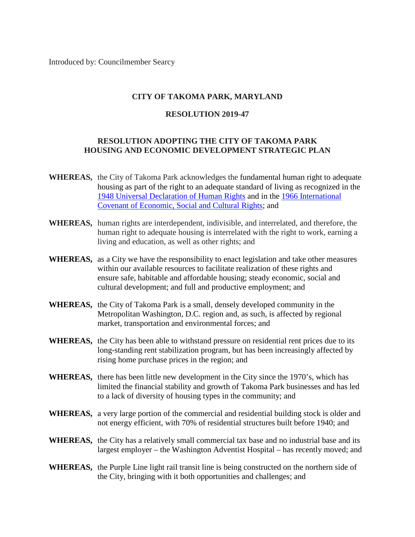Introduced by: Councilmember Searcy

## **CITY OF TAKOMA PARK, MARYLAND**

## **RESOLUTION 2019-47**

## **RESOLUTION ADOPTING THE CITY OF TAKOMA PARK HOUSING AND ECONOMIC DEVELOPMENT STRATEGIC PLAN**

- **WHEREAS,** the City of Takoma Park acknowledges the fundamental human right to adequate housing as part of the right to an adequate standard of living as recognized in the [1948 Universal Declaration of Human Rights](https://www.ohchr.org/documents/publications/fs21_rev_1_housing_en.pdf) and in the [1966 International](https://www.ohchr.org/EN/professionalinterest/pages/cescr.aspx)  [Covenant of Economic, Social and Cultural Rights;](https://www.ohchr.org/EN/professionalinterest/pages/cescr.aspx) and
- **WHEREAS,** human rights are interdependent, indivisible, and interrelated, and therefore, the human right to adequate housing is interrelated with the right to work, earning a living and education, as well as other rights; and
- **WHEREAS,** as a City we have the responsibility to enact legislation and take other measures within our available resources to facilitate realization of these rights and ensure safe, habitable and affordable housing; steady economic, social and cultural development; and full and productive employment; and
- **WHEREAS,** the City of Takoma Park is a small, densely developed community in the Metropolitan Washington, D.C. region and, as such, is affected by regional market, transportation and environmental forces; and
- **WHEREAS,** the City has been able to withstand pressure on residential rent prices due to its long-standing rent stabilization program, but has been increasingly affected by rising home purchase prices in the region; and
- **WHEREAS,** there has been little new development in the City since the 1970's, which has limited the financial stability and growth of Takoma Park businesses and has led to a lack of diversity of housing types in the community; and
- **WHEREAS,** a very large portion of the commercial and residential building stock is older and not energy efficient, with 70% of residential structures built before 1940; and
- **WHEREAS,** the City has a relatively small commercial tax base and no industrial base and its largest employer – the Washington Adventist Hospital – has recently moved; and
- **WHEREAS,** the Purple Line light rail transit line is being constructed on the northern side of the City, bringing with it both opportunities and challenges; and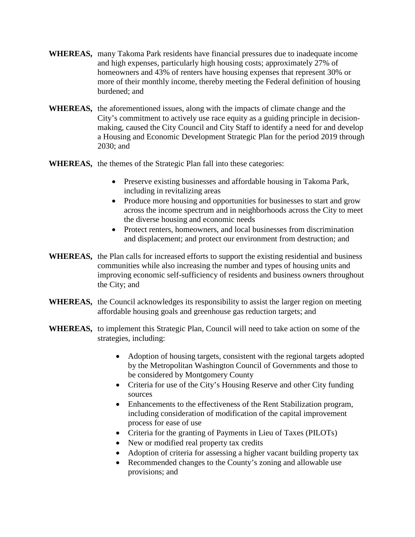- **WHEREAS,** many Takoma Park residents have financial pressures due to inadequate income and high expenses, particularly high housing costs; approximately 27% of homeowners and 43% of renters have housing expenses that represent 30% or more of their monthly income, thereby meeting the Federal definition of housing burdened; and
- **WHEREAS,** the aforementioned issues, along with the impacts of climate change and the City's commitment to actively use race equity as a guiding principle in decisionmaking, caused the City Council and City Staff to identify a need for and develop a Housing and Economic Development Strategic Plan for the period 2019 through 2030; and
- **WHEREAS,** the themes of the Strategic Plan fall into these categories:
	- Preserve existing businesses and affordable housing in Takoma Park, including in revitalizing areas
	- Produce more housing and opportunities for businesses to start and grow across the income spectrum and in neighborhoods across the City to meet the diverse housing and economic needs
	- Protect renters, homeowners, and local businesses from discrimination and displacement; and protect our environment from destruction; and
- **WHEREAS,** the Plan calls for increased efforts to support the existing residential and business communities while also increasing the number and types of housing units and improving economic self-sufficiency of residents and business owners throughout the City; and
- **WHEREAS,** the Council acknowledges its responsibility to assist the larger region on meeting affordable housing goals and greenhouse gas reduction targets; and
- **WHEREAS,** to implement this Strategic Plan, Council will need to take action on some of the strategies, including:
	- Adoption of housing targets, consistent with the regional targets adopted by the Metropolitan Washington Council of Governments and those to be considered by Montgomery County
	- Criteria for use of the City's Housing Reserve and other City funding sources
	- Enhancements to the effectiveness of the Rent Stabilization program, including consideration of modification of the capital improvement process for ease of use
	- Criteria for the granting of Payments in Lieu of Taxes (PILOTs)
	- New or modified real property tax credits
	- Adoption of criteria for assessing a higher vacant building property tax
	- Recommended changes to the County's zoning and allowable use provisions; and